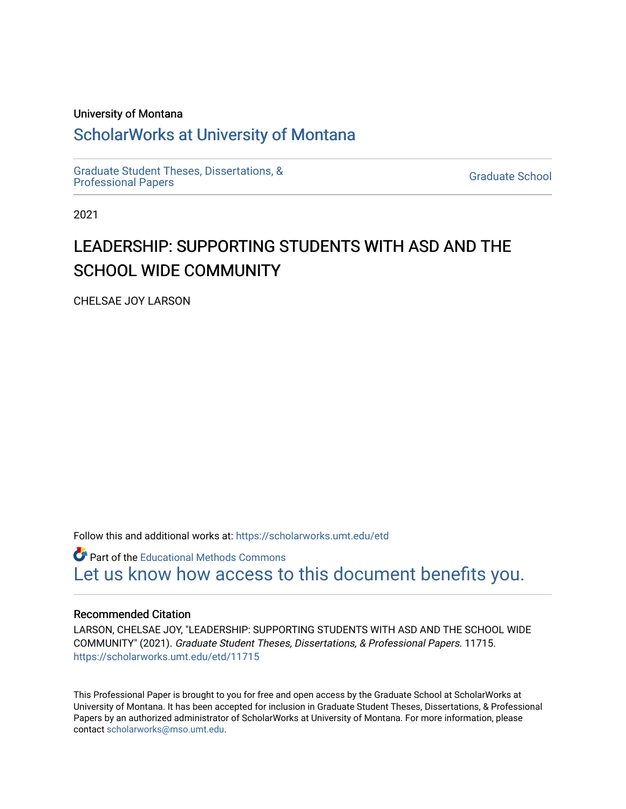### University of Montana

## [ScholarWorks at University of Montana](https://scholarworks.umt.edu/)

[Graduate Student Theses, Dissertations, &](https://scholarworks.umt.edu/etd) Graduate Student Theses, Dissertations, & Contract Control of the Graduate School [Professional Papers](https://scholarworks.umt.edu/etd) Contract Control of the Contract Control of the Contract Control of the Contract Contract Contract Control of the Contra

2021

# LEADERSHIP: SUPPORTING STUDENTS WITH ASD AND THE SCHOOL WIDE COMMUNITY

CHELSAE JOY LARSON

Follow this and additional works at: [https://scholarworks.umt.edu/etd](https://scholarworks.umt.edu/etd?utm_source=scholarworks.umt.edu%2Fetd%2F11715&utm_medium=PDF&utm_campaign=PDFCoverPages) 

**C** Part of the Educational Methods Commons [Let us know how access to this document benefits you.](https://goo.gl/forms/s2rGfXOLzz71qgsB2) 

#### Recommended Citation

LARSON, CHELSAE JOY, "LEADERSHIP: SUPPORTING STUDENTS WITH ASD AND THE SCHOOL WIDE COMMUNITY" (2021). Graduate Student Theses, Dissertations, & Professional Papers. 11715. [https://scholarworks.umt.edu/etd/11715](https://scholarworks.umt.edu/etd/11715?utm_source=scholarworks.umt.edu%2Fetd%2F11715&utm_medium=PDF&utm_campaign=PDFCoverPages) 

This Professional Paper is brought to you for free and open access by the Graduate School at ScholarWorks at University of Montana. It has been accepted for inclusion in Graduate Student Theses, Dissertations, & Professional Papers by an authorized administrator of ScholarWorks at University of Montana. For more information, please contact [scholarworks@mso.umt.edu](mailto:scholarworks@mso.umt.edu).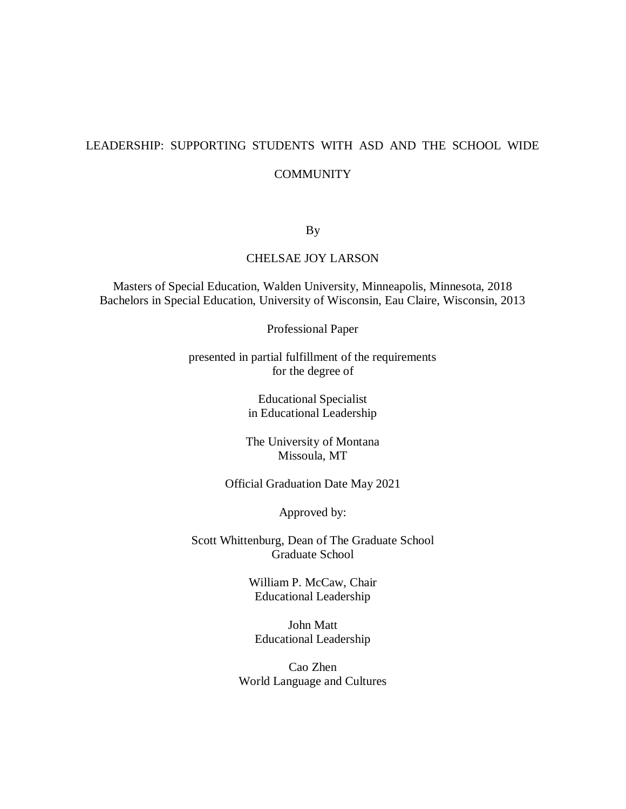## LEADERSHIP: SUPPORTING STUDENTS WITH ASD AND THE SCHOOL WIDE **COMMUNITY**

## By

## CHELSAE JOY LARSON

Masters of Special Education, Walden University, Minneapolis, Minnesota, 2018 Bachelors in Special Education, University of Wisconsin, Eau Claire, Wisconsin, 2013

Professional Paper

presented in partial fulfillment of the requirements for the degree of

> Educational Specialist in Educational Leadership

The University of Montana Missoula, MT

Official Graduation Date May 2021

Approved by:

Scott Whittenburg, Dean of The Graduate School Graduate School

> William P. McCaw, Chair Educational Leadership

John Matt Educational Leadership

Cao Zhen World Language and Cultures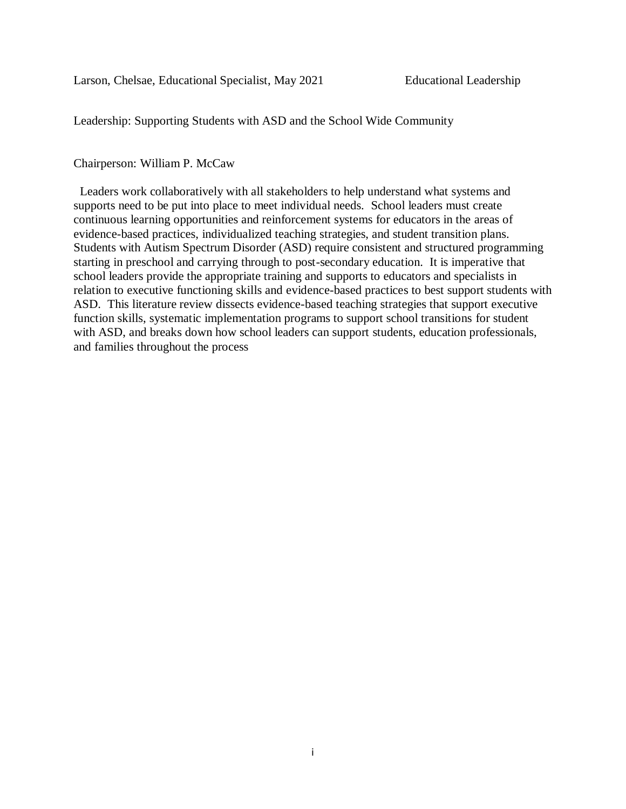Leadership: Supporting Students with ASD and the School Wide Community

## Chairperson: William P. McCaw

 Leaders work collaboratively with all stakeholders to help understand what systems and supports need to be put into place to meet individual needs. School leaders must create continuous learning opportunities and reinforcement systems for educators in the areas of evidence-based practices, individualized teaching strategies, and student transition plans. Students with Autism Spectrum Disorder (ASD) require consistent and structured programming starting in preschool and carrying through to post-secondary education. It is imperative that school leaders provide the appropriate training and supports to educators and specialists in relation to executive functioning skills and evidence-based practices to best support students with ASD. This literature review dissects evidence-based teaching strategies that support executive function skills, systematic implementation programs to support school transitions for student with ASD, and breaks down how school leaders can support students, education professionals, and families throughout the process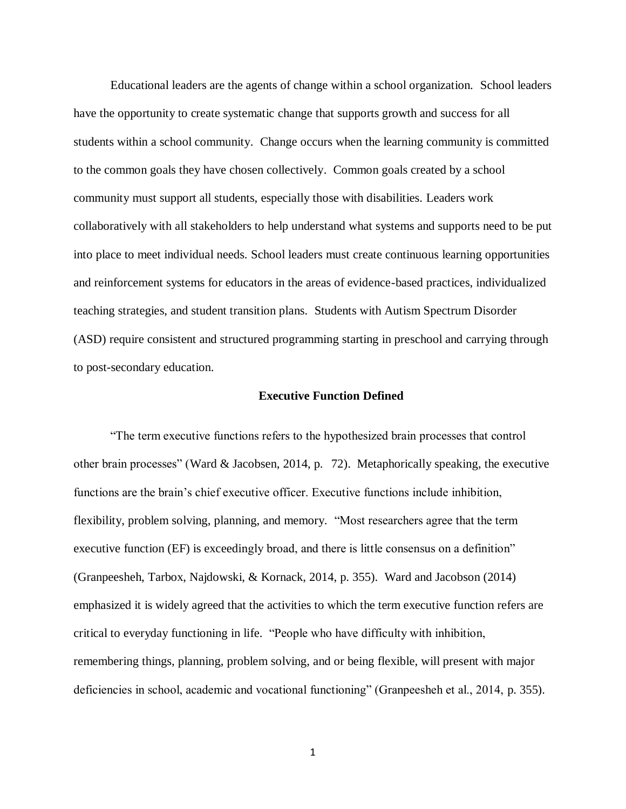Educational leaders are the agents of change within a school organization. School leaders have the opportunity to create systematic change that supports growth and success for all students within a school community. Change occurs when the learning community is committed to the common goals they have chosen collectively. Common goals created by a school community must support all students, especially those with disabilities. Leaders work collaboratively with all stakeholders to help understand what systems and supports need to be put into place to meet individual needs. School leaders must create continuous learning opportunities and reinforcement systems for educators in the areas of evidence-based practices, individualized teaching strategies, and student transition plans. Students with Autism Spectrum Disorder (ASD) require consistent and structured programming starting in preschool and carrying through to post-secondary education.

### **Executive Function Defined**

"The term executive functions refers to the hypothesized brain processes that control other brain processes" [\(Ward](https://pubs.asha.org/doi/pdf/10.1044/lle21.2.72) & [Jacobsen,](https://pubs.asha.org/doi/pdf/10.1044/lle21.2.72) 2014, p. 72). Metaphorically speaking, the executive functions are the brain's chief executive officer. Executive functions include inhibition, flexibility, problem solving, planning, and memory. "Most researchers agree that the term executive function (EF) is exceedingly broad, and there is little consensus on a definition" (Granpeesheh, Tarbox, Najdowski, & Kornack, 2014, p. 355). Ward and Jacobson (2014) emphasized it is widely agreed that the activities to which the term executive function refers are critical to everyday functioning in life. "People who have difficulty with inhibition, remembering things, planning, problem solving, and or being flexible, will present with major deficiencies in school, academic and vocational functioning" (Granpeesheh et al., 2014, p. 355).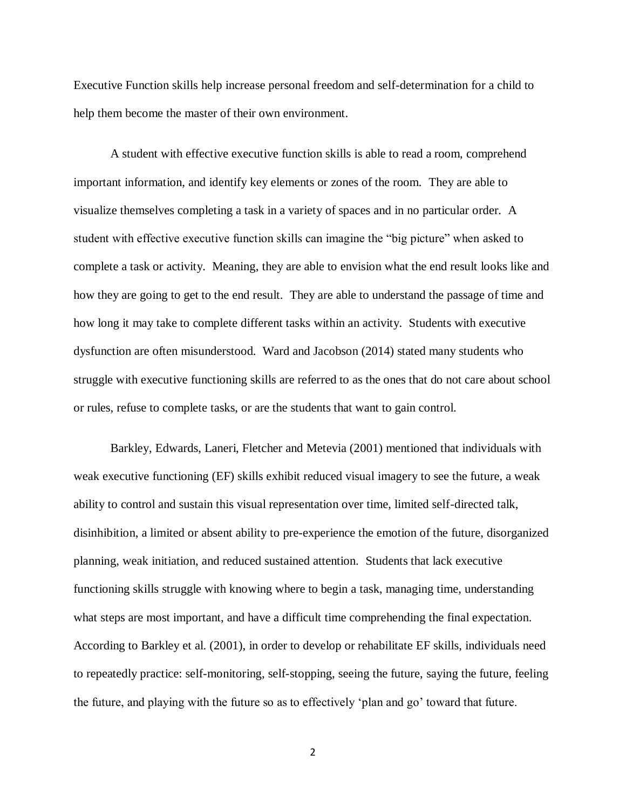Executive Function skills help increase personal freedom and self-determination for a child to help them become the master of their own environment.

A student with effective executive function skills is able to read a room, comprehend important information, and identify key elements or zones of the room. They are able to visualize themselves completing a task in a variety of spaces and in no particular order. A student with effective executive function skills can imagine the "big picture" when asked to complete a task or activity. Meaning, they are able to envision what the end result looks like and how they are going to get to the end result. They are able to understand the passage of time and how long it may take to complete different tasks within an activity. Students with executive dysfunction are often misunderstood. Ward and Jacobson (2014) stated many students who struggle with executive functioning skills are referred to as the ones that do not care about school or rules, refuse to complete tasks, or are the students that want to gain control.

Barkley, Edwards, Laneri, Fletcher and Metevia (2001) mentioned that individuals with weak executive functioning (EF) skills exhibit reduced visual imagery to see the future, a weak ability to control and sustain this visual representation over time, limited self-directed talk, disinhibition, a limited or absent ability to pre-experience the emotion of the future, disorganized planning, weak initiation, and reduced sustained attention. Students that lack executive functioning skills struggle with knowing where to begin a task, managing time, understanding what steps are most important, and have a difficult time comprehending the final expectation. According to Barkley et al. (2001), in order to develop or rehabilitate EF skills, individuals need to repeatedly practice: self-monitoring, self-stopping, seeing the future, saying the future, feeling the future, and playing with the future so as to effectively 'plan and go' toward that future.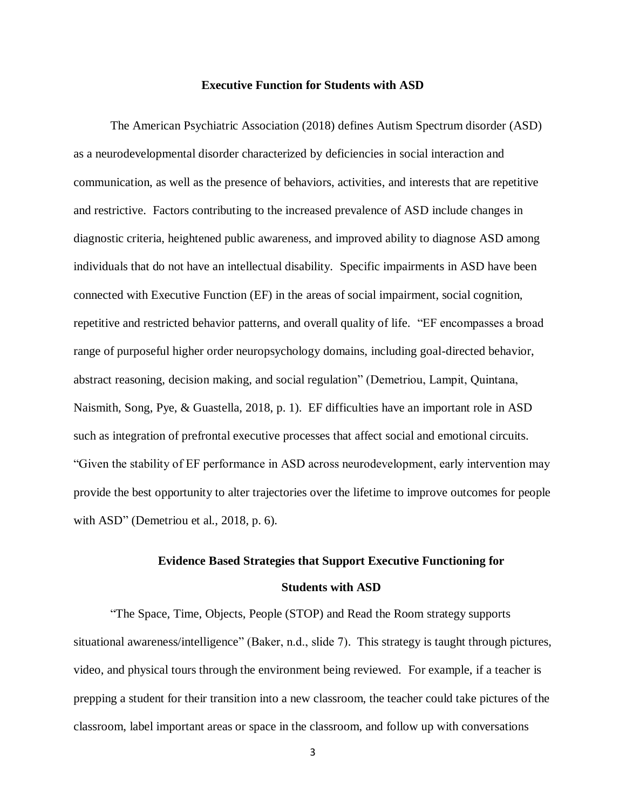#### **Executive Function for Students with ASD**

The American Psychiatric Association (2018) defines Autism Spectrum disorder (ASD) as a neurodevelopmental disorder characterized by deficiencies in social interaction and communication, as well as the presence of behaviors, activities, and interests that are repetitive and restrictive. Factors contributing to the increased prevalence of ASD include changes in diagnostic criteria, heightened public awareness, and improved ability to diagnose ASD among individuals that do not have an intellectual disability. Specific impairments in ASD have been connected with Executive Function (EF) in the areas of social impairment, social cognition, repetitive and restricted behavior patterns, and overall quality of life. "EF encompasses a broad range of purposeful higher order neuropsychology domains, including goal-directed behavior, abstract reasoning, decision making, and social regulation" (Demetriou, Lampit, Quintana, Naismith, Song, Pye, & Guastella, 2018, p. 1). EF difficulties have an important role in ASD such as integration of prefrontal executive processes that affect social and emotional circuits. "Given the stability of EF performance in ASD across neurodevelopment, early intervention may provide the best opportunity to alter trajectories over the lifetime to improve outcomes for people with ASD" (Demetriou et al., 2018, p. 6).

## **Evidence Based Strategies that Support Executive Functioning for Students with ASD**

"The Space, Time, Objects, People (STOP) and Read the Room strategy supports situational awareness/intelligence" (Baker, n.d., slide 7). This strategy is taught through pictures, video, and physical tours through the environment being reviewed. For example, if a teacher is prepping a student for their transition into a new classroom, the teacher could take pictures of the classroom, label important areas or space in the classroom, and follow up with conversations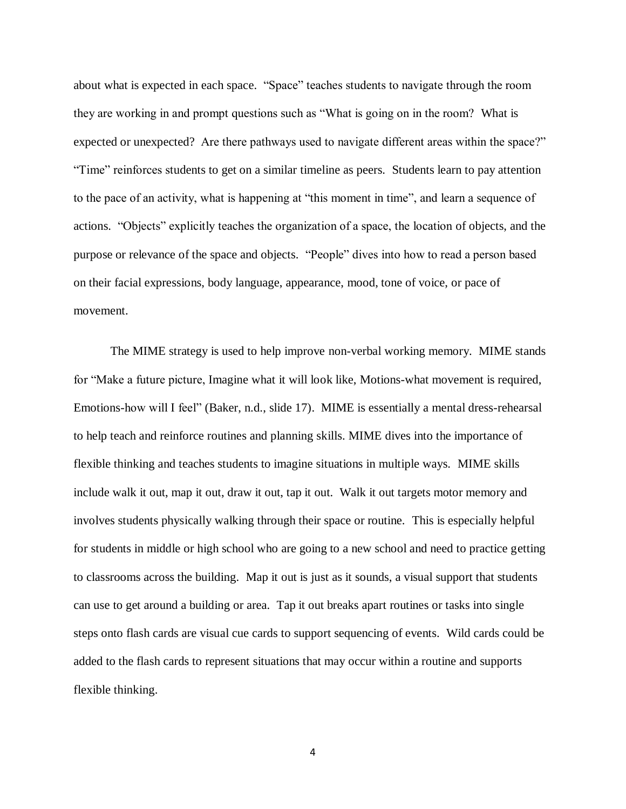about what is expected in each space. "Space" teaches students to navigate through the room they are working in and prompt questions such as "What is going on in the room? What is expected or unexpected? Are there pathways used to navigate different areas within the space?" "Time" reinforces students to get on a similar timeline as peers. Students learn to pay attention to the pace of an activity, what is happening at "this moment in time", and learn a sequence of actions. "Objects" explicitly teaches the organization of a space, the location of objects, and the purpose or relevance of the space and objects. "People" dives into how to read a person based on their facial expressions, body language, appearance, mood, tone of voice, or pace of movement.

The MIME strategy is used to help improve non-verbal working memory. MIME stands for "Make a future picture, Imagine what it will look like, Motions-what movement is required, Emotions-how will I feel" (Baker, n.d., slide 17). MIME is essentially a mental dress-rehearsal to help teach and reinforce routines and planning skills. MIME dives into the importance of flexible thinking and teaches students to imagine situations in multiple ways. MIME skills include walk it out, map it out, draw it out, tap it out. Walk it out targets motor memory and involves students physically walking through their space or routine. This is especially helpful for students in middle or high school who are going to a new school and need to practice getting to classrooms across the building. Map it out is just as it sounds, a visual support that students can use to get around a building or area. Tap it out breaks apart routines or tasks into single steps onto flash cards are visual cue cards to support sequencing of events. Wild cards could be added to the flash cards to represent situations that may occur within a routine and supports flexible thinking.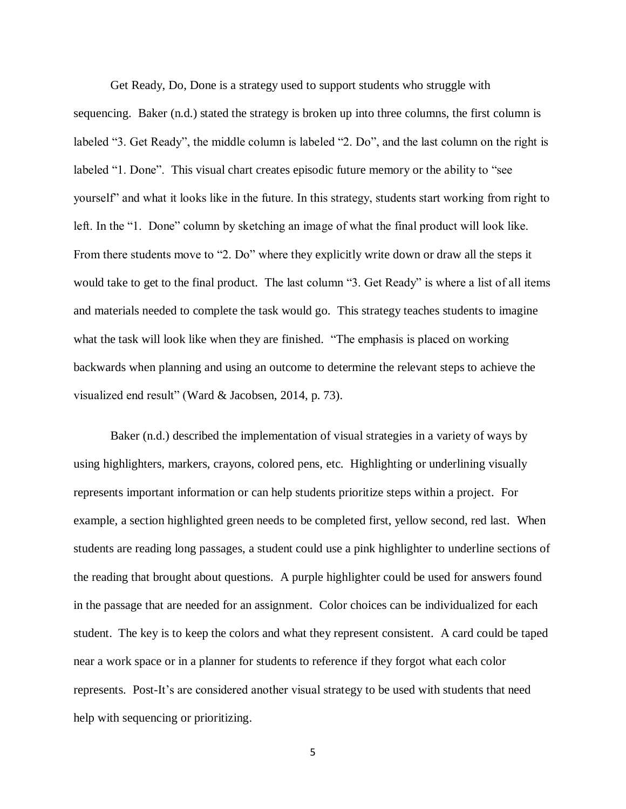Get Ready, Do, Done is a strategy used to support students who struggle with sequencing. Baker (n.d.) stated the strategy is broken up into three columns, the first column is labeled "3. Get Ready", the middle column is labeled "2. Do", and the last column on the right is labeled "1. Done". This visual chart creates episodic future memory or the ability to "see yourself" and what it looks like in the future. In this strategy, students start working from right to left. In the "1. Done" column by sketching an image of what the final product will look like. From there students move to "2. Do" where they explicitly write down or draw all the steps it would take to get to the final product. The last column "3. Get Ready" is where a list of all items and materials needed to complete the task would go. This strategy teaches students to imagine what the task will look like when they are finished. "The emphasis is placed on working backwards when planning and using an outcome to determine the relevant steps to achieve the visualized end result" [\(Ward](https://pubs.asha.org/doi/pdf/10.1044/lle21.2.72) & [Jacobsen,](https://pubs.asha.org/doi/pdf/10.1044/lle21.2.72) 2014, p. 73).

Baker (n.d.) described the implementation of visual strategies in a variety of ways by using highlighters, markers, crayons, colored pens, etc. Highlighting or underlining visually represents important information or can help students prioritize steps within a project. For example, a section highlighted green needs to be completed first, yellow second, red last. When students are reading long passages, a student could use a pink highlighter to underline sections of the reading that brought about questions. A purple highlighter could be used for answers found in the passage that are needed for an assignment. Color choices can be individualized for each student. The key is to keep the colors and what they represent consistent. A card could be taped near a work space or in a planner for students to reference if they forgot what each color represents. Post-It's are considered another visual strategy to be used with students that need help with sequencing or prioritizing.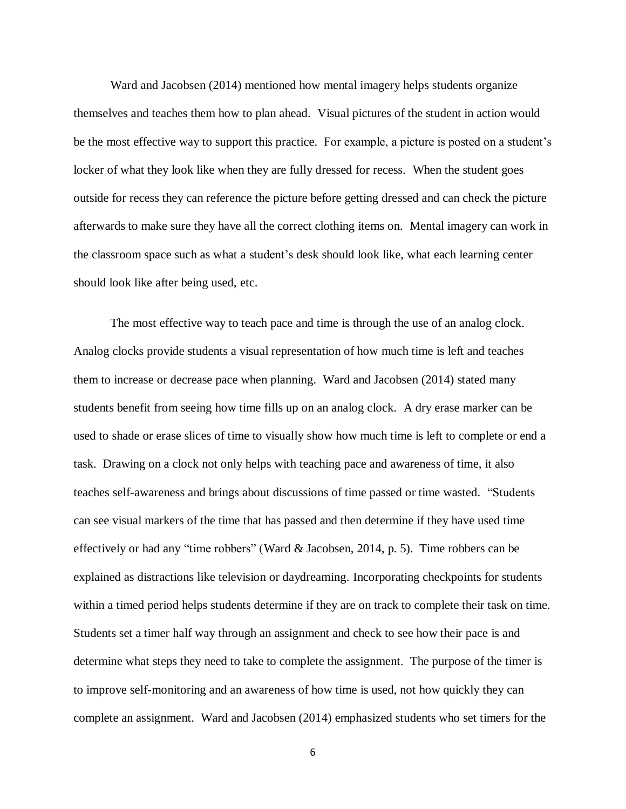Ward and Jacobsen (2014) mentioned how mental imagery helps students organize themselves and teaches them how to plan ahead. Visual pictures of the student in action would be the most effective way to support this practice. For example, a picture is posted on a student's locker of what they look like when they are fully dressed for recess. When the student goes outside for recess they can reference the picture before getting dressed and can check the picture afterwards to make sure they have all the correct clothing items on. Mental imagery can work in the classroom space such as what a student's desk should look like, what each learning center should look like after being used, etc.

The most effective way to teach pace and time is through the use of an analog clock. Analog clocks provide students a visual representation of how much time is left and teaches them to increase or decrease pace when planning. Ward and Jacobsen (2014) stated many students benefit from seeing how time fills up on an analog clock. A dry erase marker can be used to shade or erase slices of time to visually show how much time is left to complete or end a task. Drawing on a clock not only helps with teaching pace and awareness of time, it also teaches self-awareness and brings about discussions of time passed or time wasted. "Students can see visual markers of the time that has passed and then determine if they have used time effectively or had any "time robbers" [\(Ward](https://pubs.asha.org/doi/pdf/10.1044/lle21.2.72) & [Jacobsen,](https://pubs.asha.org/doi/pdf/10.1044/lle21.2.72) 2014, p. 5). Time robbers can be explained as distractions like television or daydreaming. Incorporating checkpoints for students within a timed period helps students determine if they are on track to complete their task on time. Students set a timer half way through an assignment and check to see how their pace is and determine what steps they need to take to complete the assignment. The purpose of the timer is to improve self-monitoring and an awareness of how time is used, not how quickly they can complete an assignment. Ward and Jacobsen (2014) emphasized students who set timers for the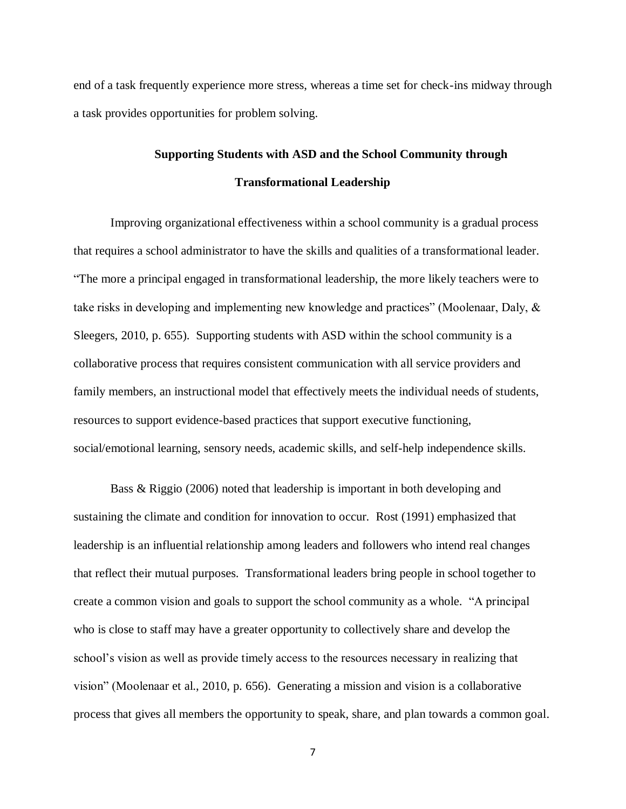end of a task frequently experience more stress, whereas a time set for check-ins midway through a task provides opportunities for problem solving.

## **Supporting Students with ASD and the School Community through Transformational Leadership**

Improving organizational effectiveness within a school community is a gradual process that requires a school administrator to have the skills and qualities of a transformational leader. "The more a principal engaged in transformational leadership, the more likely teachers were to take risks in developing and implementing new knowledge and practices" (Moolenaar, Daly, & Sleegers, 2010, p. 655). Supporting students with ASD within the school community is a collaborative process that requires consistent communication with all service providers and family members, an instructional model that effectively meets the individual needs of students, resources to support evidence-based practices that support executive functioning, social/emotional learning, sensory needs, academic skills, and self-help independence skills.

Bass & Riggio (2006) noted that leadership is important in both developing and sustaining the climate and condition for innovation to occur. Rost (1991) emphasized that leadership is an influential relationship among leaders and followers who intend real changes that reflect their mutual purposes. Transformational leaders bring people in school together to create a common vision and goals to support the school community as a whole. "A principal who is close to staff may have a greater opportunity to collectively share and develop the school's vision as well as provide timely access to the resources necessary in realizing that vision" (Moolenaar et al., 2010, p. 656). Generating a mission and vision is a collaborative process that gives all members the opportunity to speak, share, and plan towards a common goal.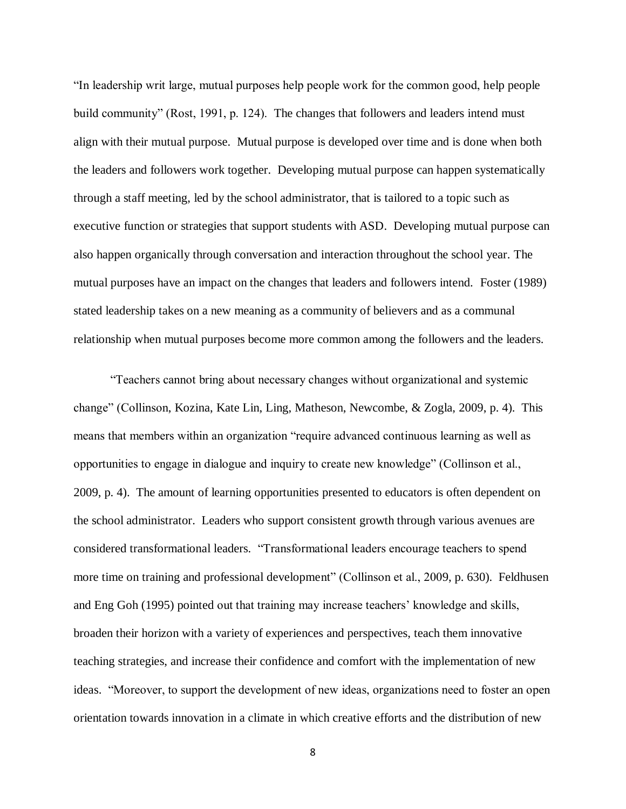"In leadership writ large, mutual purposes help people work for the common good, help people build community" (Rost, 1991, p. 124). The changes that followers and leaders intend must align with their mutual purpose. Mutual purpose is developed over time and is done when both the leaders and followers work together. Developing mutual purpose can happen systematically through a staff meeting, led by the school administrator, that is tailored to a topic such as executive function or strategies that support students with ASD. Developing mutual purpose can also happen organically through conversation and interaction throughout the school year. The mutual purposes have an impact on the changes that leaders and followers intend. Foster (1989) stated leadership takes on a new meaning as a community of believers and as a communal relationship when mutual purposes become more common among the followers and the leaders.

"Teachers cannot bring about necessary changes without organizational and systemic change" (Collinson, Kozina, Kate Lin, Ling, Matheson, Newcombe, & Zogla, 2009, p. 4). This means that members within an organization "require advanced continuous learning as well as opportunities to engage in dialogue and inquiry to create new knowledge" (Collinson et al., 2009, p. 4). The amount of learning opportunities presented to educators is often dependent on the school administrator. Leaders who support consistent growth through various avenues are considered transformational leaders. "Transformational leaders encourage teachers to spend more time on training and professional development" (Collinson et al., 2009, p. 630). Feldhusen and Eng Goh (1995) pointed out that training may increase teachers' knowledge and skills, broaden their horizon with a variety of experiences and perspectives, teach them innovative teaching strategies, and increase their confidence and comfort with the implementation of new ideas. "Moreover, to support the development of new ideas, organizations need to foster an open orientation towards innovation in a climate in which creative efforts and the distribution of new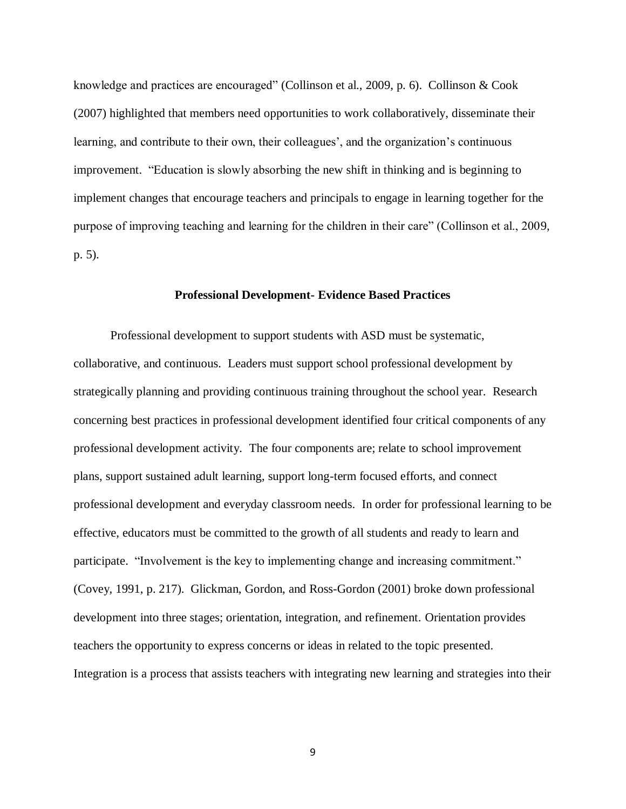knowledge and practices are encouraged" (Collinson et al., 2009, p. 6). Collinson & Cook (2007) highlighted that members need opportunities to work collaboratively, disseminate their learning, and contribute to their own, their colleagues', and the organization's continuous improvement. "Education is slowly absorbing the new shift in thinking and is beginning to implement changes that encourage teachers and principals to engage in learning together for the purpose of improving teaching and learning for the children in their care" (Collinson et al., 2009, p. 5).

#### **Professional Development- Evidence Based Practices**

Professional development to support students with ASD must be systematic, collaborative, and continuous. Leaders must support school professional development by strategically planning and providing continuous training throughout the school year. Research concerning best practices in professional development identified four critical components of any professional development activity. The four components are; relate to school improvement plans, support sustained adult learning, support long-term focused efforts, and connect professional development and everyday classroom needs. In order for professional learning to be effective, educators must be committed to the growth of all students and ready to learn and participate. "Involvement is the key to implementing change and increasing commitment." (Covey, 1991, p. 217). Glickman, Gordon, and Ross-Gordon (2001) broke down professional development into three stages; orientation, integration, and refinement. Orientation provides teachers the opportunity to express concerns or ideas in related to the topic presented. Integration is a process that assists teachers with integrating new learning and strategies into their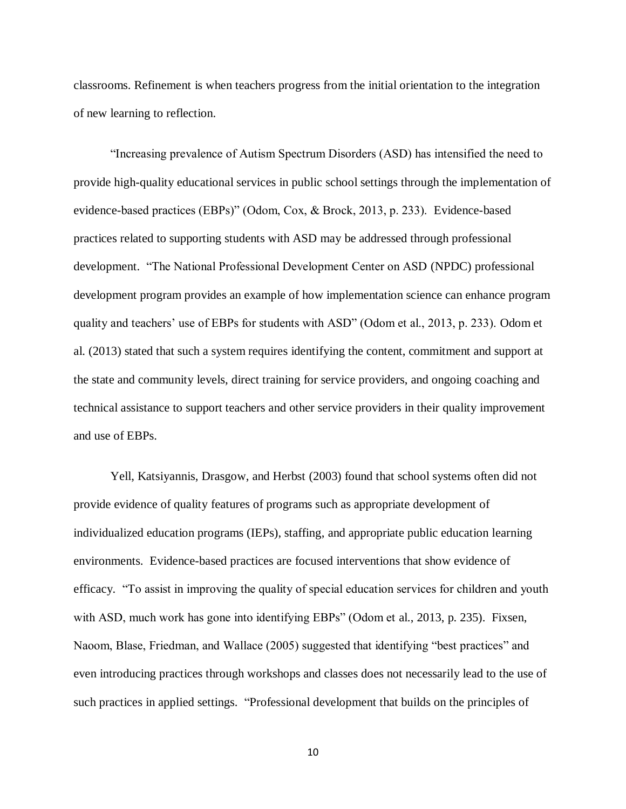classrooms. Refinement is when teachers progress from the initial orientation to the integration of new learning to reflection.

"Increasing prevalence of Autism Spectrum Disorders (ASD) has intensified the need to provide high-quality educational services in public school settings through the implementation of evidence-based practices (EBPs)" (Odom, Cox, & Brock, 2013, p. 233). Evidence-based practices related to supporting students with ASD may be addressed through professional development. "The National Professional Development Center on ASD (NPDC) professional development program provides an example of how implementation science can enhance program quality and teachers' use of EBPs for students with ASD" (Odom et al., 2013, p. 233). Odom et al. (2013) stated that such a system requires identifying the content, commitment and support at the state and community levels, direct training for service providers, and ongoing coaching and technical assistance to support teachers and other service providers in their quality improvement and use of EBPs.

Yell, Katsiyannis, Drasgow, and Herbst (2003) found that school systems often did not provide evidence of quality features of programs such as appropriate development of individualized education programs (IEPs), staffing, and appropriate public education learning environments. Evidence-based practices are focused interventions that show evidence of efficacy. "To assist in improving the quality of special education services for children and youth with ASD, much work has gone into identifying EBPs" (Odom et al., 2013, p. 235). Fixsen, Naoom, Blase, Friedman, and Wallace (2005) suggested that identifying "best practices" and even introducing practices through workshops and classes does not necessarily lead to the use of such practices in applied settings. "Professional development that builds on the principles of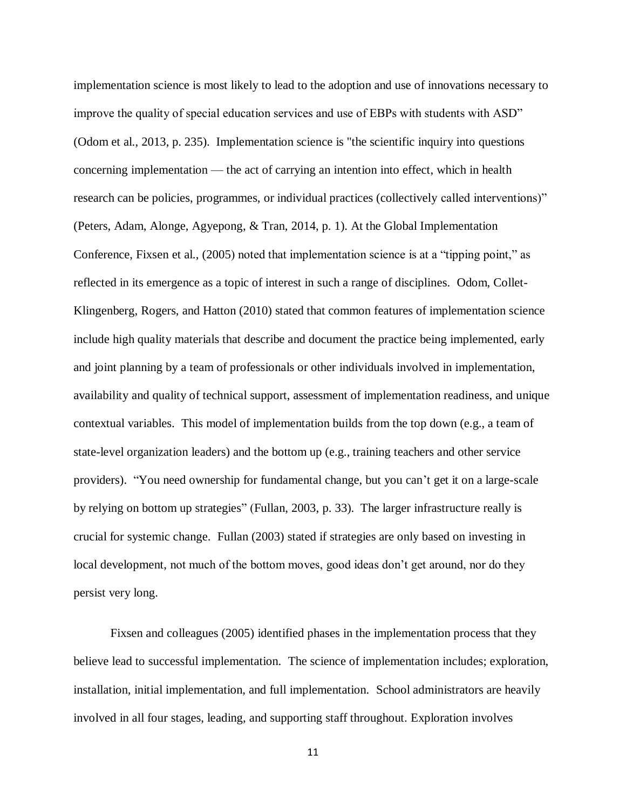implementation science is most likely to lead to the adoption and use of innovations necessary to improve the quality of special education services and use of EBPs with students with ASD" (Odom et al., 2013, p. 235). Implementation science is "the scientific inquiry into questions concerning implementation — the act of carrying an intention into effect, which in health research can be policies, programmes, or individual practices (collectively called interventions)" (Peters, Adam, Alonge, Agyepong, & Tran, 2014, p. 1). At the Global Implementation Conference, Fixsen et al., (2005) noted that implementation science is at a "tipping point," as reflected in its emergence as a topic of interest in such a range of disciplines. Odom, Collet-Klingenberg, Rogers, and Hatton (2010) stated that common features of implementation science include high quality materials that describe and document the practice being implemented, early and joint planning by a team of professionals or other individuals involved in implementation, availability and quality of technical support, assessment of implementation readiness, and unique contextual variables. This model of implementation builds from the top down (e.g., a team of state-level organization leaders) and the bottom up (e.g., training teachers and other service providers). "You need ownership for fundamental change, but you can't get it on a large-scale by relying on bottom up strategies" (Fullan, 2003, p. 33). The larger infrastructure really is crucial for systemic change. Fullan (2003) stated if strategies are only based on investing in local development, not much of the bottom moves, good ideas don't get around, nor do they persist very long.

Fixsen and colleagues (2005) identified phases in the implementation process that they believe lead to successful implementation. The science of implementation includes; exploration, installation, initial implementation, and full implementation. School administrators are heavily involved in all four stages, leading, and supporting staff throughout. Exploration involves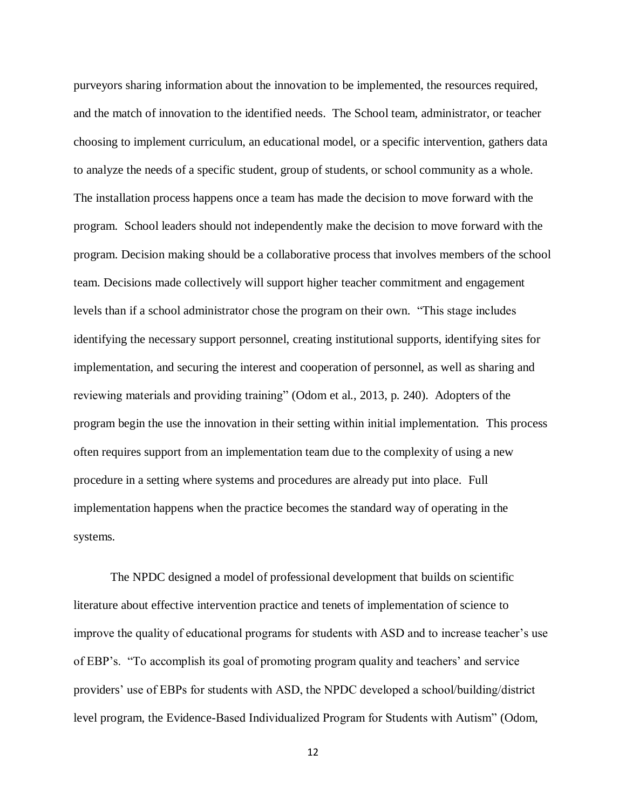purveyors sharing information about the innovation to be implemented, the resources required, and the match of innovation to the identified needs. The School team, administrator, or teacher choosing to implement curriculum, an educational model, or a specific intervention, gathers data to analyze the needs of a specific student, group of students, or school community as a whole. The installation process happens once a team has made the decision to move forward with the program. School leaders should not independently make the decision to move forward with the program. Decision making should be a collaborative process that involves members of the school team. Decisions made collectively will support higher teacher commitment and engagement levels than if a school administrator chose the program on their own. "This stage includes identifying the necessary support personnel, creating institutional supports, identifying sites for implementation, and securing the interest and cooperation of personnel, as well as sharing and reviewing materials and providing training" (Odom et al., 2013, p. 240). Adopters of the program begin the use the innovation in their setting within initial implementation. This process often requires support from an implementation team due to the complexity of using a new procedure in a setting where systems and procedures are already put into place. Full implementation happens when the practice becomes the standard way of operating in the systems.

 The NPDC designed a model of professional development that builds on scientific literature about effective intervention practice and tenets of implementation of science to improve the quality of educational programs for students with ASD and to increase teacher's use of EBP's. "To accomplish its goal of promoting program quality and teachers' and service providers' use of EBPs for students with ASD, the NPDC developed a school/building/district level program, the Evidence-Based Individualized Program for Students with Autism" (Odom,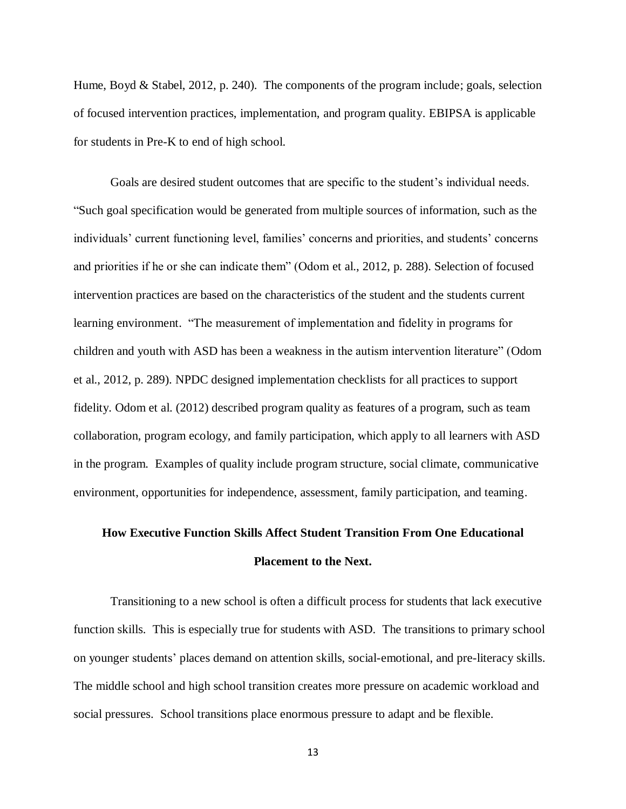Hume, Boyd & Stabel, 2012, p. 240). The components of the program include; goals, selection of focused intervention practices, implementation, and program quality. EBIPSA is applicable for students in Pre-K to end of high school.

Goals are desired student outcomes that are specific to the student's individual needs. "Such goal specification would be generated from multiple sources of information, such as the individuals' current functioning level, families' concerns and priorities, and students' concerns and priorities if he or she can indicate them" (Odom et al., 2012, p. 288). Selection of focused intervention practices are based on the characteristics of the student and the students current learning environment. "The measurement of implementation and fidelity in programs for children and youth with ASD has been a weakness in the autism intervention literature" (Odom et al., 2012, p. 289). NPDC designed implementation checklists for all practices to support fidelity. Odom et al. (2012) described program quality as features of a program, such as team collaboration, program ecology, and family participation, which apply to all learners with ASD in the program. Examples of quality include program structure, social climate, communicative environment, opportunities for independence, assessment, family participation, and teaming.

# **How Executive Function Skills Affect Student Transition From One Educational Placement to the Next.**

Transitioning to a new school is often a difficult process for students that lack executive function skills. This is especially true for students with ASD. The transitions to primary school on younger students' places demand on attention skills, social-emotional, and pre-literacy skills. The middle school and high school transition creates more pressure on academic workload and social pressures. School transitions place enormous pressure to adapt and be flexible.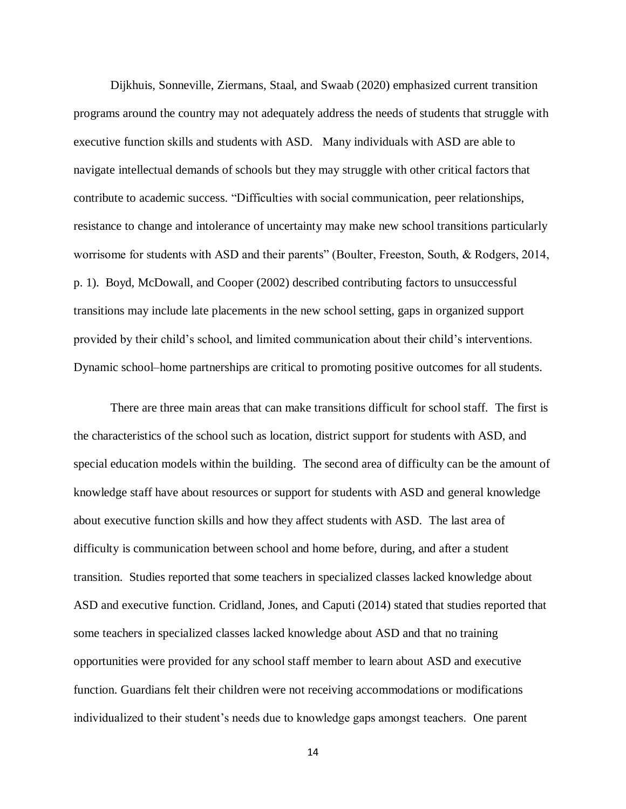Dijkhuis, Sonneville, Ziermans, Staal, and Swaab (2020) emphasized current transition programs around the country may not adequately address the needs of students that struggle with executive function skills and students with ASD. Many individuals with ASD are able to navigate intellectual demands of schools but they may struggle with other critical factors that contribute to academic success. "Difficulties with social communication, peer relationships, resistance to change and intolerance of uncertainty may make new school transitions particularly worrisome for students with ASD and their parents" (Boulter, Freeston, South, & Rodgers, 2014, p. 1). Boyd, McDowall, and Cooper (2002) described contributing factors to unsuccessful transitions may include late placements in the new school setting, gaps in organized support provided by their child's school, and limited communication about their child's interventions. Dynamic school–home partnerships are critical to promoting positive outcomes for all students.

There are three main areas that can make transitions difficult for school staff. The first is the characteristics of the school such as location, district support for students with ASD, and special education models within the building. The second area of difficulty can be the amount of knowledge staff have about resources or support for students with ASD and general knowledge about executive function skills and how they affect students with ASD. The last area of difficulty is communication between school and home before, during, and after a student transition. Studies reported that some teachers in specialized classes lacked knowledge about ASD and executive function. Cridland, Jones, and Caputi (2014) stated that studies reported that some teachers in specialized classes lacked knowledge about ASD and that no training opportunities were provided for any school staff member to learn about ASD and executive function. Guardians felt their children were not receiving accommodations or modifications individualized to their student's needs due to knowledge gaps amongst teachers. One parent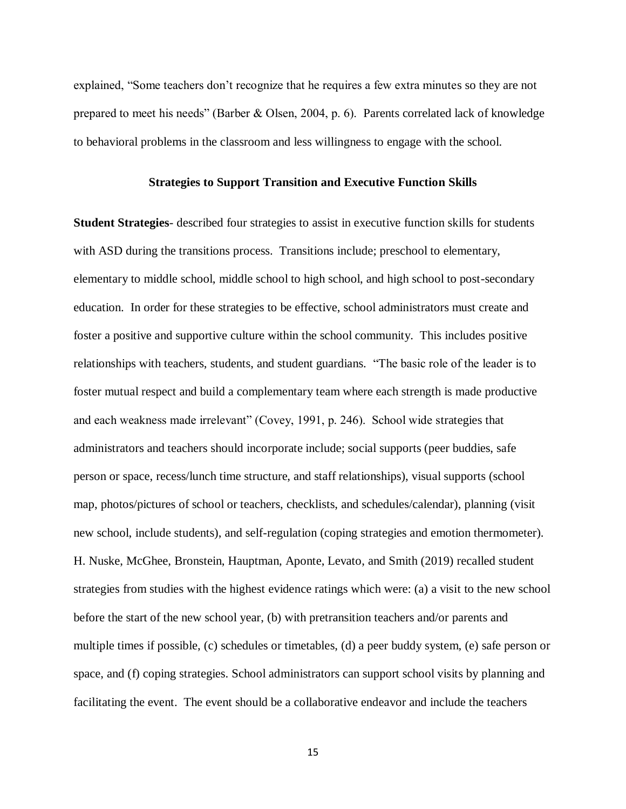explained, "Some teachers don't recognize that he requires a few extra minutes so they are not prepared to meet his needs" (Barber & Olsen, 2004, p. 6). Parents correlated lack of knowledge to behavioral problems in the classroom and less willingness to engage with the school.

#### **Strategies to Support Transition and Executive Function Skills**

**Student Strategies**- described four strategies to assist in executive function skills for students with ASD during the transitions process. Transitions include; preschool to elementary, elementary to middle school, middle school to high school, and high school to post-secondary education. In order for these strategies to be effective, school administrators must create and foster a positive and supportive culture within the school community. This includes positive relationships with teachers, students, and student guardians. "The basic role of the leader is to foster mutual respect and build a complementary team where each strength is made productive and each weakness made irrelevant" (Covey, 1991, p. 246). School wide strategies that administrators and teachers should incorporate include; social supports (peer buddies, safe person or space, recess/lunch time structure, and staff relationships), visual supports (school map, photos/pictures of school or teachers, checklists, and schedules/calendar), planning (visit new school, include students), and self-regulation (coping strategies and emotion thermometer). H. Nuske, McGhee, Bronstein, Hauptman, Aponte, Levato, and Smith (2019) recalled student strategies from studies with the highest evidence ratings which were: (a) a visit to the new school before the start of the new school year, (b) with pretransition teachers and/or parents and multiple times if possible, (c) schedules or timetables, (d) a peer buddy system, (e) safe person or space, and (f) coping strategies. School administrators can support school visits by planning and facilitating the event. The event should be a collaborative endeavor and include the teachers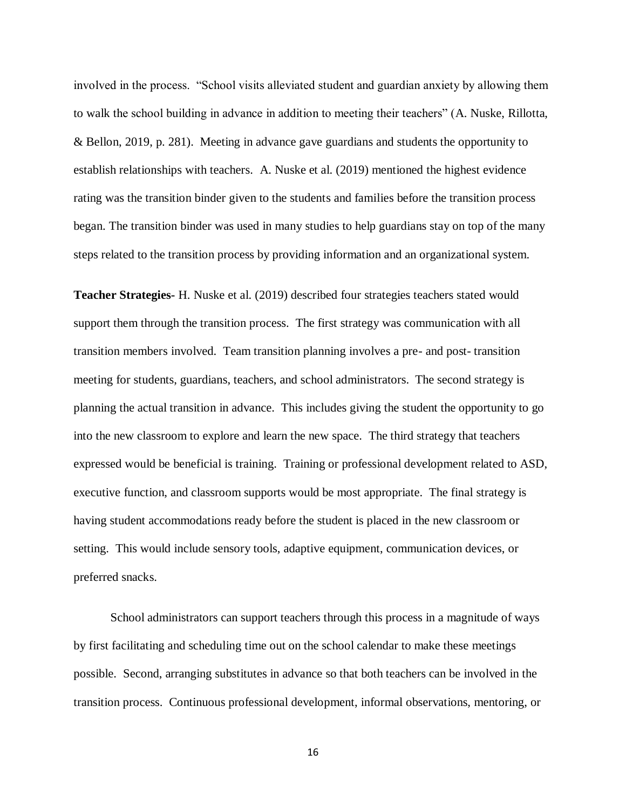involved in the process. "School visits alleviated student and guardian anxiety by allowing them to walk the school building in advance in addition to meeting their teachers" (A. Nuske, Rillotta, & Bellon, 2019, p. 281). Meeting in advance gave guardians and students the opportunity to establish relationships with teachers. A. Nuske et al. (2019) mentioned the highest evidence rating was the transition binder given to the students and families before the transition process began. The transition binder was used in many studies to help guardians stay on top of the many steps related to the transition process by providing information and an organizational system.

**Teacher Strategies-** H. Nuske et al. (2019) described four strategies teachers stated would support them through the transition process. The first strategy was communication with all transition members involved. Team transition planning involves a pre- and post- transition meeting for students, guardians, teachers, and school administrators. The second strategy is planning the actual transition in advance. This includes giving the student the opportunity to go into the new classroom to explore and learn the new space. The third strategy that teachers expressed would be beneficial is training. Training or professional development related to ASD, executive function, and classroom supports would be most appropriate. The final strategy is having student accommodations ready before the student is placed in the new classroom or setting. This would include sensory tools, adaptive equipment, communication devices, or preferred snacks.

School administrators can support teachers through this process in a magnitude of ways by first facilitating and scheduling time out on the school calendar to make these meetings possible. Second, arranging substitutes in advance so that both teachers can be involved in the transition process. Continuous professional development, informal observations, mentoring, or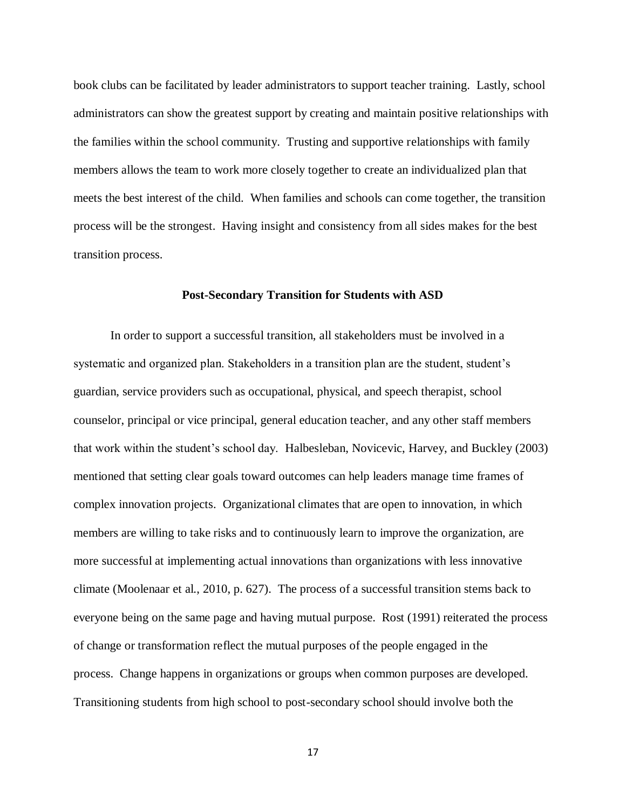book clubs can be facilitated by leader administrators to support teacher training. Lastly, school administrators can show the greatest support by creating and maintain positive relationships with the families within the school community. Trusting and supportive relationships with family members allows the team to work more closely together to create an individualized plan that meets the best interest of the child. When families and schools can come together, the transition process will be the strongest. Having insight and consistency from all sides makes for the best transition process.

#### **Post-Secondary Transition for Students with ASD**

In order to support a successful transition, all stakeholders must be involved in a systematic and organized plan. Stakeholders in a transition plan are the student, student's guardian, service providers such as occupational, physical, and speech therapist, school counselor, principal or vice principal, general education teacher, and any other staff members that work within the student's school day. Halbesleban, Novicevic, Harvey, and Buckley (2003) mentioned that setting clear goals toward outcomes can help leaders manage time frames of complex innovation projects. Organizational climates that are open to innovation, in which members are willing to take risks and to continuously learn to improve the organization, are more successful at implementing actual innovations than organizations with less innovative climate (Moolenaar et al., 2010, p. 627). The process of a successful transition stems back to everyone being on the same page and having mutual purpose. Rost (1991) reiterated the process of change or transformation reflect the mutual purposes of the people engaged in the process. Change happens in organizations or groups when common purposes are developed. Transitioning students from high school to post-secondary school should involve both the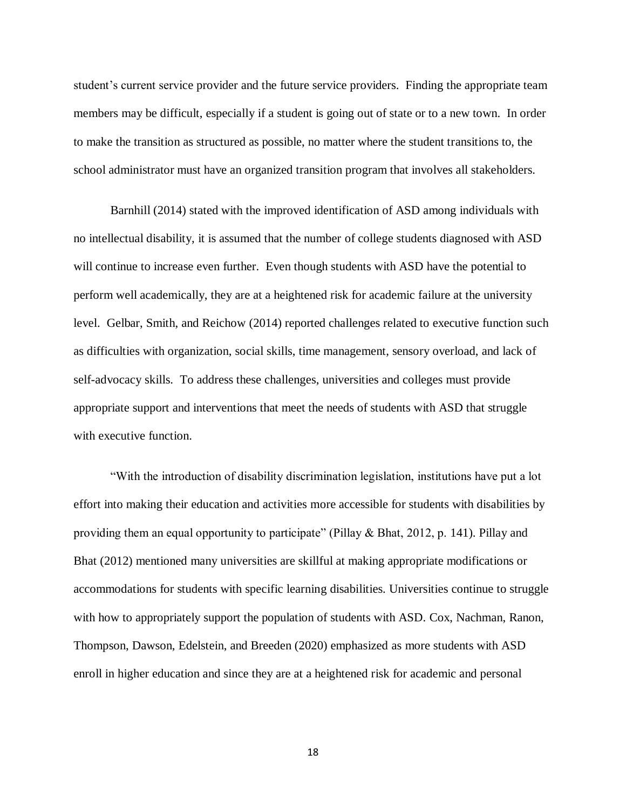student's current service provider and the future service providers. Finding the appropriate team members may be difficult, especially if a student is going out of state or to a new town. In order to make the transition as structured as possible, no matter where the student transitions to, the school administrator must have an organized transition program that involves all stakeholders.

Barnhill (2014) stated with the improved identification of ASD among individuals with no intellectual disability, it is assumed that the number of college students diagnosed with ASD will continue to increase even further. Even though students with ASD have the potential to perform well academically, they are at a heightened risk for academic failure at the university level. Gelbar, Smith, and Reichow (2014) reported challenges related to executive function such as difficulties with organization, social skills, time management, sensory overload, and lack of self-advocacy skills. To address these challenges, universities and colleges must provide appropriate support and interventions that meet the needs of students with ASD that struggle with executive function.

"With the introduction of disability discrimination legislation, institutions have put a lot effort into making their education and activities more accessible for students with disabilities by providing them an equal opportunity to participate" (Pillay & Bhat, 2012, p. 141). Pillay and Bhat (2012) mentioned many universities are skillful at making appropriate modifications or accommodations for students with specific learning disabilities. Universities continue to struggle with how to appropriately support the population of students with ASD. Cox, Nachman, Ranon, Thompson, Dawson, Edelstein, and Breeden (2020) emphasized as more students with ASD enroll in higher education and since they are at a heightened risk for academic and personal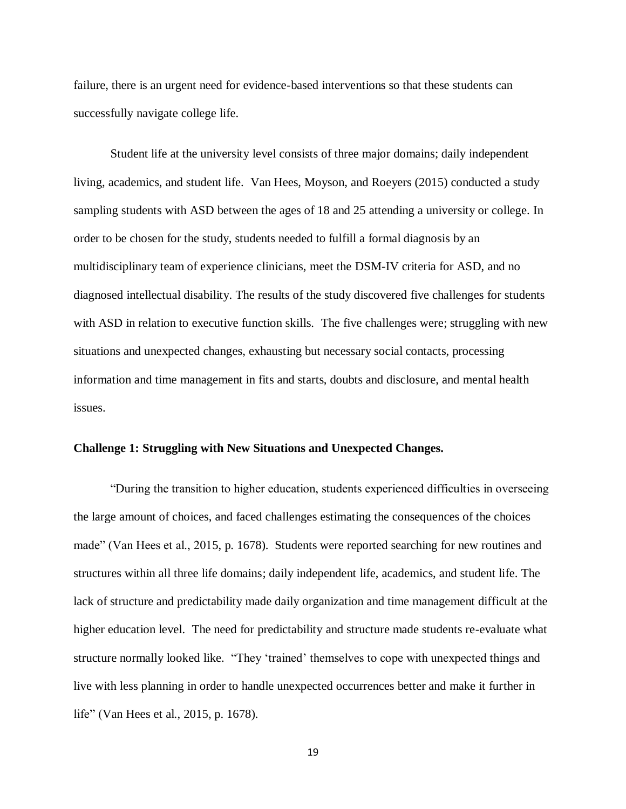failure, there is an urgent need for evidence-based interventions so that these students can successfully navigate college life.

Student life at the university level consists of three major domains; daily independent living, academics, and student life. Van Hees, Moyson, and Roeyers (2015) conducted a study sampling students with ASD between the ages of 18 and 25 attending a university or college. In order to be chosen for the study, students needed to fulfill a formal diagnosis by an multidisciplinary team of experience clinicians, meet the DSM-IV criteria for ASD, and no diagnosed intellectual disability. The results of the study discovered five challenges for students with ASD in relation to executive function skills. The five challenges were; struggling with new situations and unexpected changes, exhausting but necessary social contacts, processing information and time management in fits and starts, doubts and disclosure, and mental health issues.

### **Challenge 1: Struggling with New Situations and Unexpected Changes.**

"During the transition to higher education, students experienced difficulties in overseeing the large amount of choices, and faced challenges estimating the consequences of the choices made" (Van Hees et al., 2015, p. 1678). Students were reported searching for new routines and structures within all three life domains; daily independent life, academics, and student life. The lack of structure and predictability made daily organization and time management difficult at the higher education level. The need for predictability and structure made students re-evaluate what structure normally looked like. "They 'trained' themselves to cope with unexpected things and live with less planning in order to handle unexpected occurrences better and make it further in life" (Van Hees et al., 2015, p. 1678).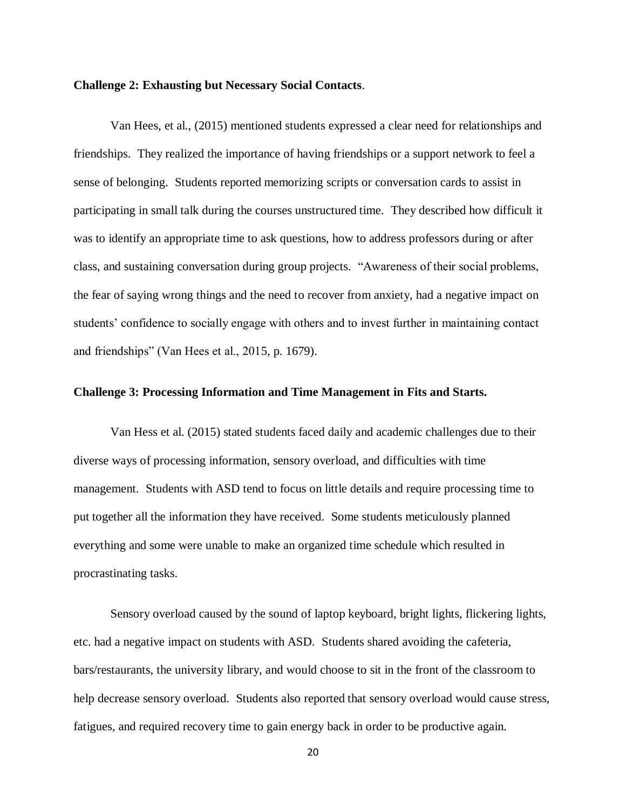#### **Challenge 2: Exhausting but Necessary Social Contacts**.

Van Hees, et al., (2015) mentioned students expressed a clear need for relationships and friendships. They realized the importance of having friendships or a support network to feel a sense of belonging. Students reported memorizing scripts or conversation cards to assist in participating in small talk during the courses unstructured time. They described how difficult it was to identify an appropriate time to ask questions, how to address professors during or after class, and sustaining conversation during group projects. "Awareness of their social problems, the fear of saying wrong things and the need to recover from anxiety, had a negative impact on students' confidence to socially engage with others and to invest further in maintaining contact and friendships" (Van Hees et al., 2015, p. 1679).

#### **Challenge 3: Processing Information and Time Management in Fits and Starts.**

Van Hess et al. (2015) stated students faced daily and academic challenges due to their diverse ways of processing information, sensory overload, and difficulties with time management. Students with ASD tend to focus on little details and require processing time to put together all the information they have received. Some students meticulously planned everything and some were unable to make an organized time schedule which resulted in procrastinating tasks.

Sensory overload caused by the sound of laptop keyboard, bright lights, flickering lights, etc. had a negative impact on students with ASD. Students shared avoiding the cafeteria, bars/restaurants, the university library, and would choose to sit in the front of the classroom to help decrease sensory overload. Students also reported that sensory overload would cause stress, fatigues, and required recovery time to gain energy back in order to be productive again.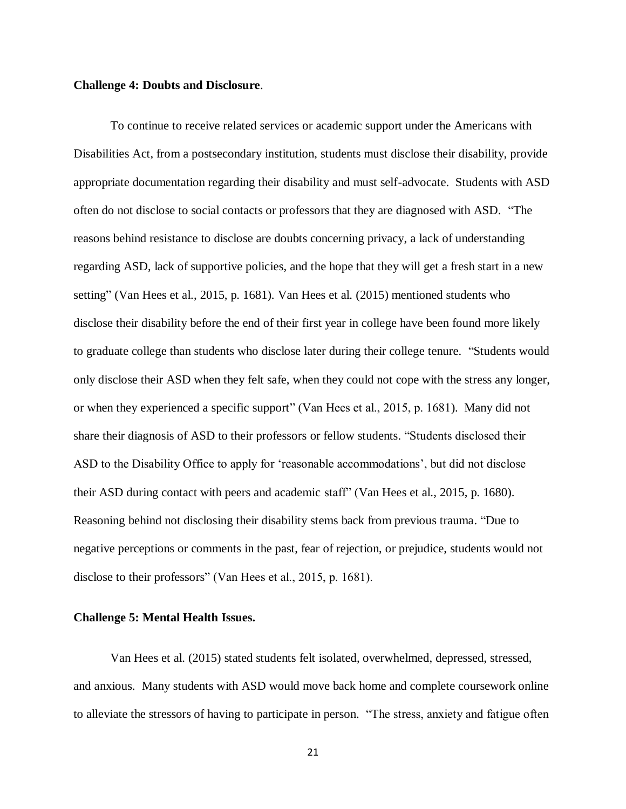#### **Challenge 4: Doubts and Disclosure**.

To continue to receive related services or academic support under the Americans with Disabilities Act, from a postsecondary institution, students must disclose their disability, provide appropriate documentation regarding their disability and must self-advocate. Students with ASD often do not disclose to social contacts or professors that they are diagnosed with ASD. "The reasons behind resistance to disclose are doubts concerning privacy, a lack of understanding regarding ASD, lack of supportive policies, and the hope that they will get a fresh start in a new setting" (Van Hees et al., 2015, p. 1681). Van Hees et al. (2015) mentioned students who disclose their disability before the end of their first year in college have been found more likely to graduate college than students who disclose later during their college tenure. "Students would only disclose their ASD when they felt safe, when they could not cope with the stress any longer, or when they experienced a specific support" (Van Hees et al., 2015, p. 1681). Many did not share their diagnosis of ASD to their professors or fellow students. "Students disclosed their ASD to the Disability Office to apply for 'reasonable accommodations', but did not disclose their ASD during contact with peers and academic staff" (Van Hees et al., 2015, p. 1680). Reasoning behind not disclosing their disability stems back from previous trauma. "Due to negative perceptions or comments in the past, fear of rejection, or prejudice, students would not disclose to their professors" (Van Hees et al., 2015, p. 1681).

### **Challenge 5: Mental Health Issues.**

Van Hees et al. (2015) stated students felt isolated, overwhelmed, depressed, stressed, and anxious. Many students with ASD would move back home and complete coursework online to alleviate the stressors of having to participate in person. "The stress, anxiety and fatigue often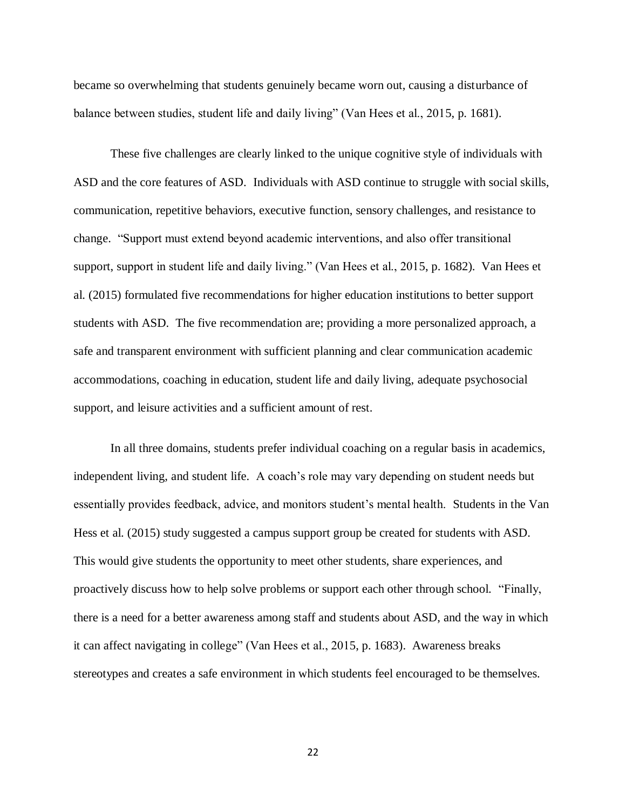became so overwhelming that students genuinely became worn out, causing a disturbance of balance between studies, student life and daily living" (Van Hees et al., 2015, p. 1681).

These five challenges are clearly linked to the unique cognitive style of individuals with ASD and the core features of ASD. Individuals with ASD continue to struggle with social skills, communication, repetitive behaviors, executive function, sensory challenges, and resistance to change. "Support must extend beyond academic interventions, and also offer transitional support, support in student life and daily living." (Van Hees et al., 2015, p. 1682). Van Hees et al. (2015) formulated five recommendations for higher education institutions to better support students with ASD. The five recommendation are; providing a more personalized approach, a safe and transparent environment with sufficient planning and clear communication academic accommodations, coaching in education, student life and daily living, adequate psychosocial support, and leisure activities and a sufficient amount of rest.

In all three domains, students prefer individual coaching on a regular basis in academics, independent living, and student life. A coach's role may vary depending on student needs but essentially provides feedback, advice, and monitors student's mental health. Students in the Van Hess et al. (2015) study suggested a campus support group be created for students with ASD. This would give students the opportunity to meet other students, share experiences, and proactively discuss how to help solve problems or support each other through school. "Finally, there is a need for a better awareness among staff and students about ASD, and the way in which it can affect navigating in college" (Van Hees et al., 2015, p. 1683). Awareness breaks stereotypes and creates a safe environment in which students feel encouraged to be themselves.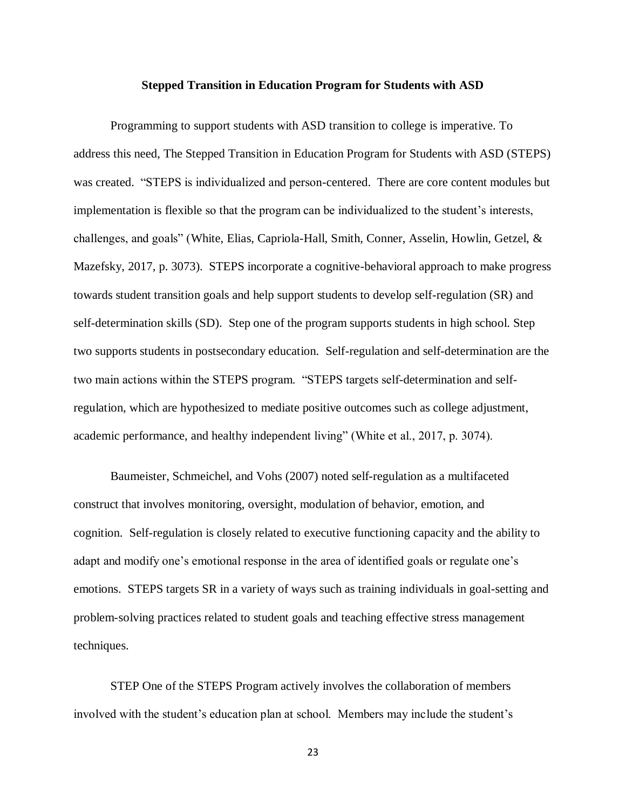#### **Stepped Transition in Education Program for Students with ASD**

Programming to support students with ASD transition to college is imperative. To address this need, The Stepped Transition in Education Program for Students with ASD (STEPS) was created. "STEPS is individualized and person-centered. There are core content modules but implementation is flexible so that the program can be individualized to the student's interests, challenges, and goals" (White, Elias, Capriola-Hall, Smith, Conner, Asselin, Howlin, Getzel, & Mazefsky, 2017, p. 3073). STEPS incorporate a cognitive-behavioral approach to make progress towards student transition goals and help support students to develop self-regulation (SR) and self-determination skills (SD). Step one of the program supports students in high school. Step two supports students in postsecondary education. Self-regulation and self-determination are the two main actions within the STEPS program. "STEPS targets self-determination and selfregulation, which are hypothesized to mediate positive outcomes such as college adjustment, academic performance, and healthy independent living" (White et al., 2017, p. 3074).

 Baumeister, Schmeichel, and Vohs (2007) noted self-regulation as a multifaceted construct that involves monitoring, oversight, modulation of behavior, emotion, and cognition. Self-regulation is closely related to executive functioning capacity and the ability to adapt and modify one's emotional response in the area of identified goals or regulate one's emotions. STEPS targets SR in a variety of ways such as training individuals in goal-setting and problem-solving practices related to student goals and teaching effective stress management techniques.

 STEP One of the STEPS Program actively involves the collaboration of members involved with the student's education plan at school. Members may include the student's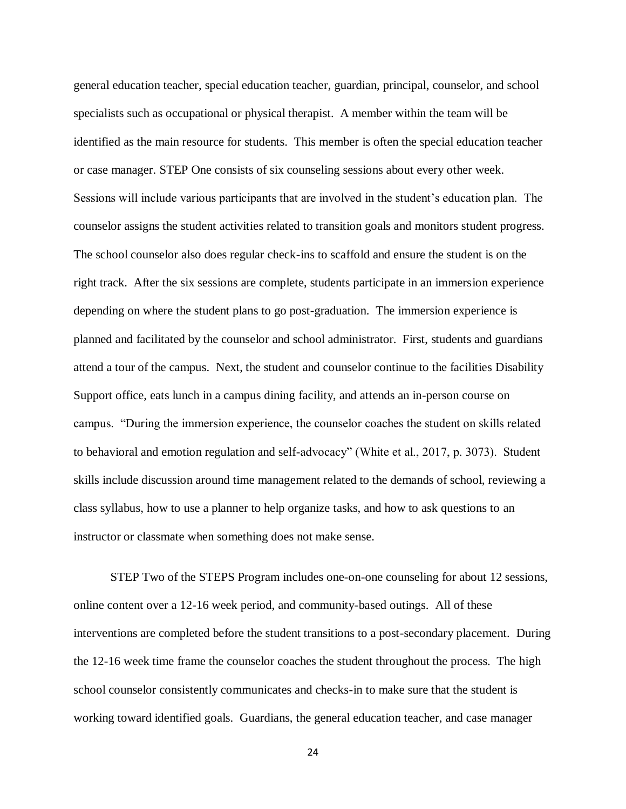general education teacher, special education teacher, guardian, principal, counselor, and school specialists such as occupational or physical therapist. A member within the team will be identified as the main resource for students. This member is often the special education teacher or case manager. STEP One consists of six counseling sessions about every other week. Sessions will include various participants that are involved in the student's education plan. The counselor assigns the student activities related to transition goals and monitors student progress. The school counselor also does regular check-ins to scaffold and ensure the student is on the right track. After the six sessions are complete, students participate in an immersion experience depending on where the student plans to go post-graduation. The immersion experience is planned and facilitated by the counselor and school administrator. First, students and guardians attend a tour of the campus. Next, the student and counselor continue to the facilities Disability Support office, eats lunch in a campus dining facility, and attends an in-person course on campus. "During the immersion experience, the counselor coaches the student on skills related to behavioral and emotion regulation and self-advocacy" (White et al., 2017, p. 3073). Student skills include discussion around time management related to the demands of school, reviewing a class syllabus, how to use a planner to help organize tasks, and how to ask questions to an instructor or classmate when something does not make sense.

STEP Two of the STEPS Program includes one-on-one counseling for about 12 sessions, online content over a 12-16 week period, and community-based outings. All of these interventions are completed before the student transitions to a post-secondary placement. During the 12-16 week time frame the counselor coaches the student throughout the process. The high school counselor consistently communicates and checks-in to make sure that the student is working toward identified goals. Guardians, the general education teacher, and case manager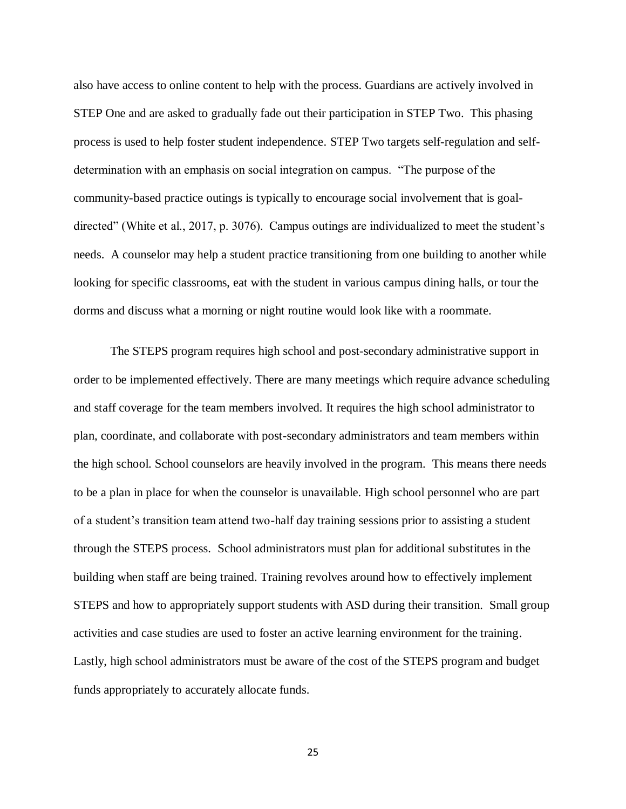also have access to online content to help with the process. Guardians are actively involved in STEP One and are asked to gradually fade out their participation in STEP Two. This phasing process is used to help foster student independence. STEP Two targets self-regulation and selfdetermination with an emphasis on social integration on campus. "The purpose of the community-based practice outings is typically to encourage social involvement that is goaldirected" (White et al., 2017, p. 3076). Campus outings are individualized to meet the student's needs. A counselor may help a student practice transitioning from one building to another while looking for specific classrooms, eat with the student in various campus dining halls, or tour the dorms and discuss what a morning or night routine would look like with a roommate.

The STEPS program requires high school and post-secondary administrative support in order to be implemented effectively. There are many meetings which require advance scheduling and staff coverage for the team members involved. It requires the high school administrator to plan, coordinate, and collaborate with post-secondary administrators and team members within the high school. School counselors are heavily involved in the program. This means there needs to be a plan in place for when the counselor is unavailable. High school personnel who are part of a student's transition team attend two-half day training sessions prior to assisting a student through the STEPS process. School administrators must plan for additional substitutes in the building when staff are being trained. Training revolves around how to effectively implement STEPS and how to appropriately support students with ASD during their transition. Small group activities and case studies are used to foster an active learning environment for the training. Lastly, high school administrators must be aware of the cost of the STEPS program and budget funds appropriately to accurately allocate funds.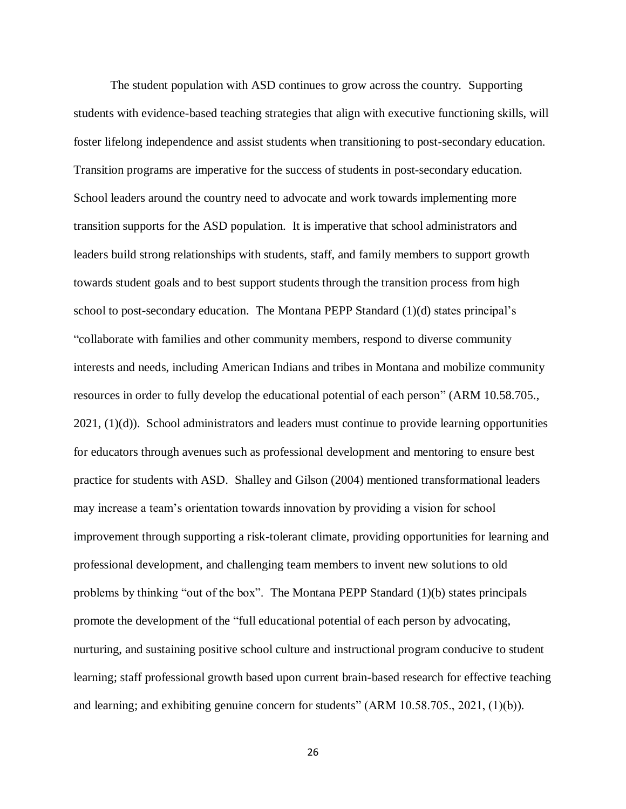The student population with ASD continues to grow across the country. Supporting students with evidence-based teaching strategies that align with executive functioning skills, will foster lifelong independence and assist students when transitioning to post-secondary education. Transition programs are imperative for the success of students in post-secondary education. School leaders around the country need to advocate and work towards implementing more transition supports for the ASD population. It is imperative that school administrators and leaders build strong relationships with students, staff, and family members to support growth towards student goals and to best support students through the transition process from high school to post-secondary education. The Montana PEPP Standard (1)(d) states principal's "collaborate with families and other community members, respond to diverse community interests and needs, including American Indians and tribes in Montana and mobilize community resources in order to fully develop the educational potential of each person" (ARM 10.58.705., 2021, (1)(d)). School administrators and leaders must continue to provide learning opportunities for educators through avenues such as professional development and mentoring to ensure best practice for students with ASD. Shalley and Gilson (2004) mentioned transformational leaders may increase a team's orientation towards innovation by providing a vision for school improvement through supporting a risk-tolerant climate, providing opportunities for learning and professional development, and challenging team members to invent new solutions to old problems by thinking "out of the box". The Montana PEPP Standard (1)(b) states principals promote the development of the "full educational potential of each person by advocating, nurturing, and sustaining positive school culture and instructional program conducive to student learning; staff professional growth based upon current brain-based research for effective teaching and learning; and exhibiting genuine concern for students" (ARM 10.58.705., 2021, (1)(b)).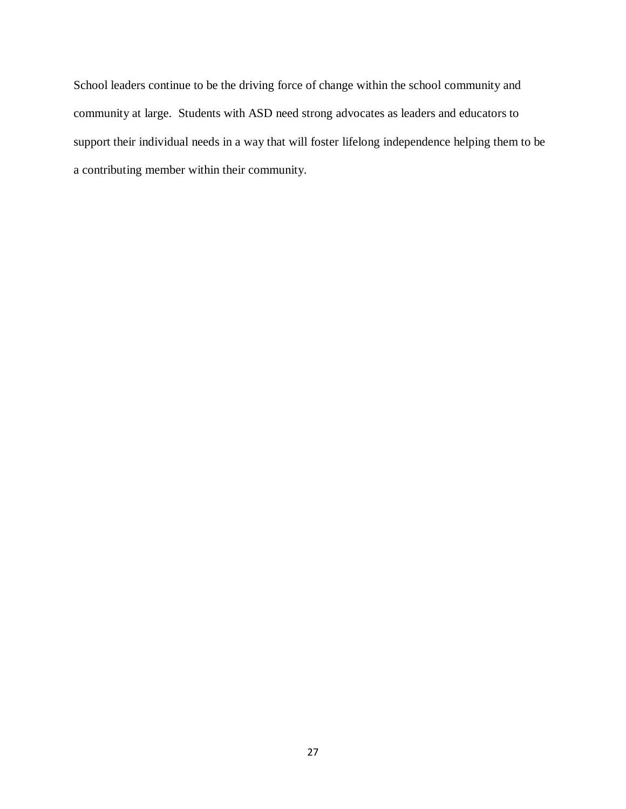School leaders continue to be the driving force of change within the school community and community at large. Students with ASD need strong advocates as leaders and educators to support their individual needs in a way that will foster lifelong independence helping them to be a contributing member within their community.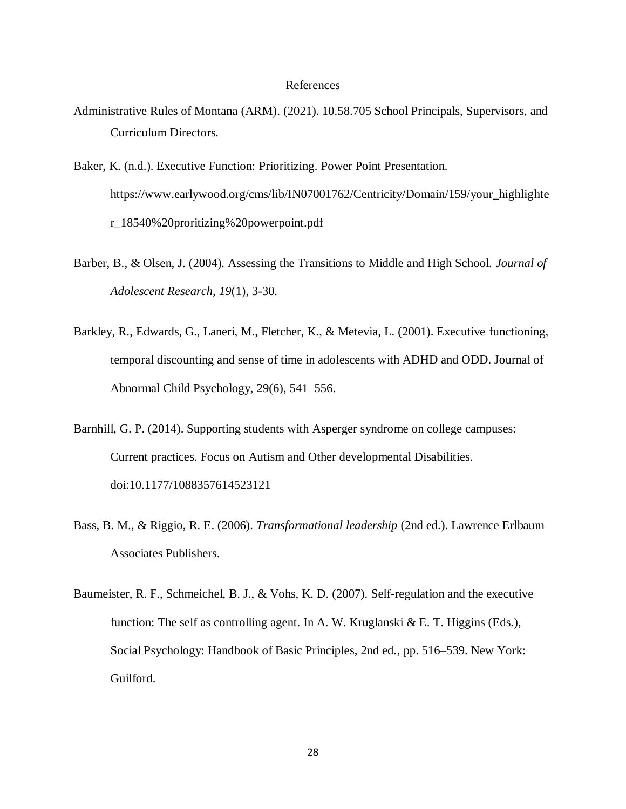### References

- Administrative Rules of Montana (ARM). (2021). 10.58.705 School Principals, Supervisors, and Curriculum Directors.
- Baker, K. (n.d.). Executive Function: Prioritizing. Power Point Presentation[.](https://www.earlywood.org/cms/lib/IN07001762/Centricity/Domain/159/your_highlighter_18540%20proritizing%20powerpoint.pdf) [https://www.earlywood.org/cms/lib/IN07001762/Centricity/Domain/159/your\\_highlighte](https://www.earlywood.org/cms/lib/IN07001762/Centricity/Domain/159/your_highlighter_18540%20proritizing%20powerpoint.pdf) [r\\_18540%20proritizing%20powerpoint.pdf](https://www.earlywood.org/cms/lib/IN07001762/Centricity/Domain/159/your_highlighter_18540%20proritizing%20powerpoint.pdf)
- Barber, B., & Olsen, J. (2004). Assessing the Transitions to Middle and High School. *Journal of Adolescent Research, 19*(1), 3-30.
- Barkley, R., Edwards, G., Laneri, M., Fletcher, K., & Metevia, L. (2001). Executive functioning, temporal discounting and sense of time in adolescents with ADHD and ODD. Journal of Abnormal Child Psychology, 29(6), 541–556.
- Barnhill, G. P. (2014). Supporting students with Asperger syndrome on college campuses: Current practices. Focus on Autism and Other developmental Disabilities. doi:10.1177/1088357614523121
- Bass, B. M., & Riggio, R. E. (2006). *Transformational leadership* (2nd ed.). Lawrence Erlbaum Associates Publishers.
- Baumeister, R. F., Schmeichel, B. J., & Vohs, K. D. (2007). Self-regulation and the executive function: The self as controlling agent. In A. W. Kruglanski & E. T. Higgins (Eds.), Social Psychology: Handbook of Basic Principles, 2nd ed., pp. 516–539. New York: Guilford.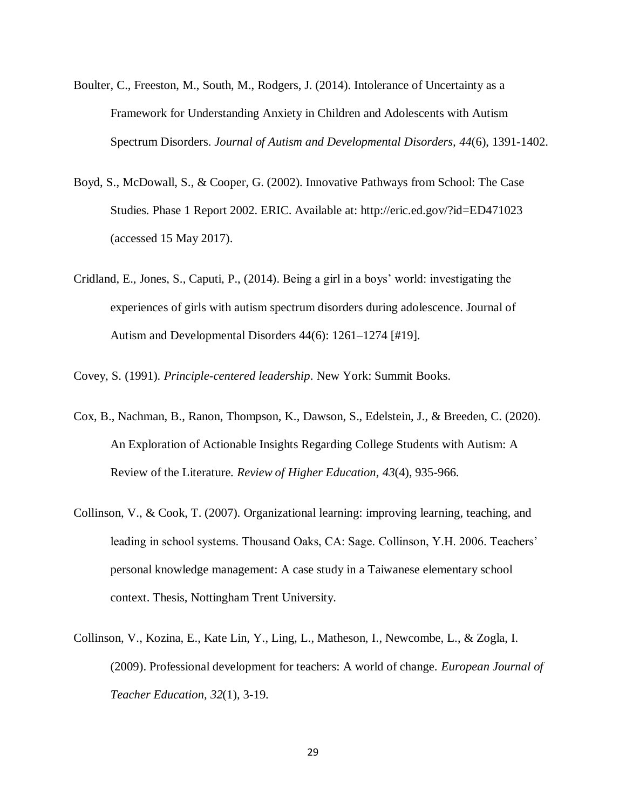- Boulter, C., Freeston, M., South, M., Rodgers, J. (2014). Intolerance of Uncertainty as a Framework for Understanding Anxiety in Children and Adolescents with Autism Spectrum Disorders. *Journal of Autism and Developmental Disorders, 44*(6), 1391-1402.
- Boyd, S., McDowall, S., & Cooper, G. (2002). Innovative Pathways from School: The Case Studies. Phase 1 Report 2002. ERIC. Available at: http://eric.ed.gov/?id=ED471023 (accessed 15 May 2017).
- Cridland, E., Jones, S., Caputi, P., (2014). Being a girl in a boys' world: investigating the experiences of girls with autism spectrum disorders during adolescence. Journal of Autism and Developmental Disorders 44(6): 1261–1274 [#19].

Covey, S. (1991). *Principle-centered leadership*. New York: Summit Books.

- Cox, B., Nachman, B., Ranon, Thompson, K., Dawson, S., Edelstein, J., & Breeden, C. (2020). An Exploration of Actionable Insights Regarding College Students with Autism: A Review of the Literature. *Review of Higher Education, 43*(4), 935-966.
- Collinson, V., & Cook, T. (2007). Organizational learning: improving learning, teaching, and leading in school systems. Thousand Oaks, CA: Sage. Collinson, Y.H. 2006. Teachers' personal knowledge management: A case study in a Taiwanese elementary school context. Thesis, Nottingham Trent University.
- Collinson, V., Kozina, E., Kate Lin, Y., Ling, L., Matheson, I., Newcombe, L., & Zogla, I. (2009). Professional development for teachers: A world of change. *European Journal of Teacher Education, 32*(1), 3-19.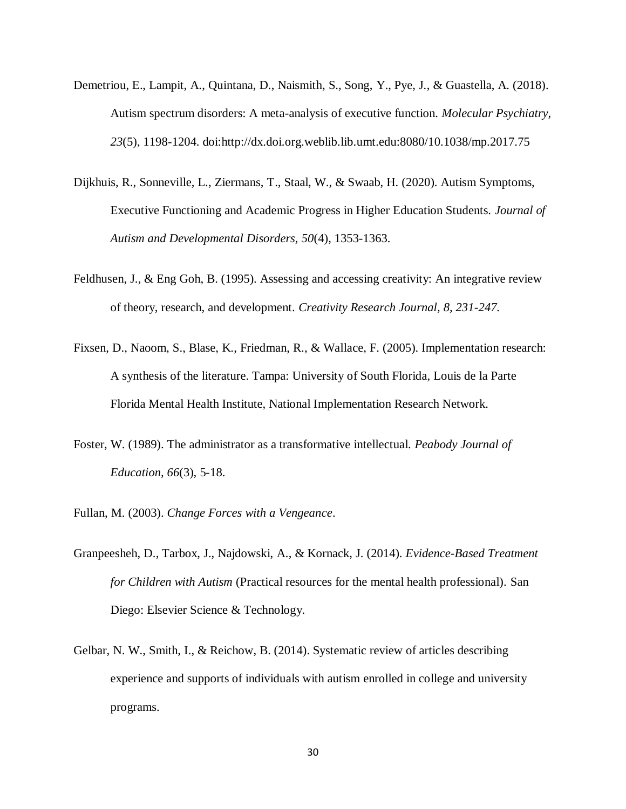- Demetriou, E., Lampit, A., Quintana, D., Naismith, S., Song, Y., Pye, J., & Guastella, A. (2018). Autism spectrum disorders: A meta-analysis of executive function. *Molecular Psychiatry, 23*(5), 1198-1204. doi[:http://dx.doi.org.weblib.lib.umt.edu:8080/10.1038/mp.2017.75](http://dx.doi.org.weblib.lib.umt.edu:8080/10.1038/mp.2017.75)
- Dijkhuis, R., Sonneville, L., Ziermans, T., Staal, W., & Swaab, H. (2020). Autism Symptoms, Executive Functioning and Academic Progress in Higher Education Students. *Journal of Autism and Developmental Disorders, 50*(4), 1353-1363.
- Feldhusen, J., & Eng Goh, B. (1995). Assessing and accessing creativity: An integrative review of theory, research, and development. *Creativity Research Journal, 8, 231-247.*
- Fixsen, D., Naoom, S., Blase, K., Friedman, R., & Wallace, F. (2005). Implementation research: A synthesis of the literature. Tampa: University of South Florida, Louis de la Parte Florida Mental Health Institute, National Implementation Research Network.
- Foster, W. (1989). The administrator as a transformative intellectual. *Peabody Journal of Education, 66*(3), 5-18.
- Fullan, M. (2003). *Change Forces with a Vengeance*.
- Granpeesheh, D., Tarbox, J., Najdowski, A., & Kornack, J. (2014). *Evidence-Based Treatment for Children with Autism* (Practical resources for the mental health professional). San Diego: Elsevier Science & Technology.
- Gelbar, N. W., Smith, I., & Reichow, B. (2014). Systematic review of articles describing experience and supports of individuals with autism enrolled in college and university programs.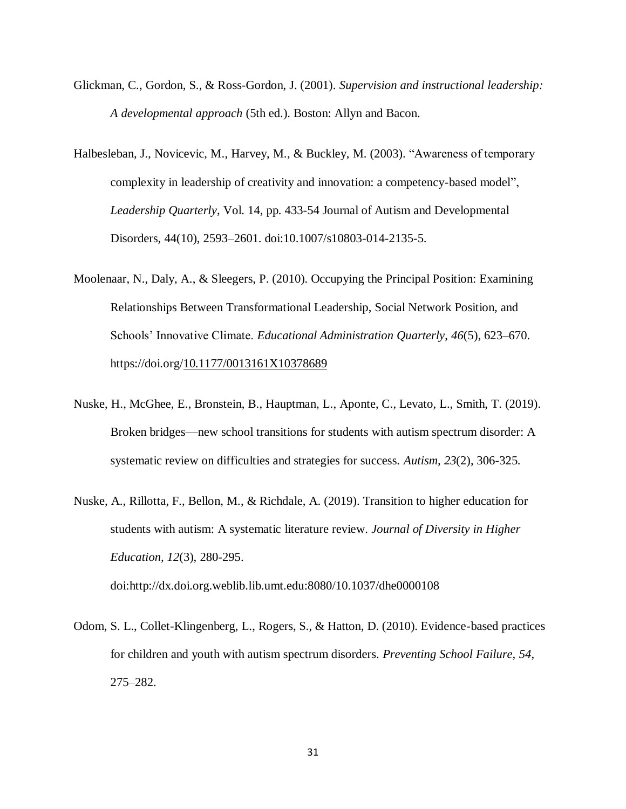- Glickman, C., Gordon, S., & Ross-Gordon, J. (2001). *Supervision and instructional leadership: A developmental approach* (5th ed.). Boston: Allyn and Bacon.
- Halbesleban, J., Novicevic, M., Harvey, M., & Buckley, M. (2003). "Awareness of temporary complexity in leadership of creativity and innovation: a competency-based model", *Leadership Quarterly*, Vol. 14, pp. 433-54 Journal of Autism and Developmental Disorders, 44(10), 2593–2601. doi:10.1007/s10803-014-2135-5.
- Moolenaar, N., Daly, A., & Sleegers, P. (2010). Occupying the Principal Position: Examining Relationships Between Transformational Leadership, Social Network Position, and Schools' Innovative Climate. *Educational Administration Quarterly*, *46*(5), 623–670. https://doi.org[/10.1177/0013161X10378689](https://doi-org.weblib.lib.umt.edu:2443/10.1177/0013161X10378689)
- Nuske, H., McGhee, E., Bronstein, B., Hauptman, L., Aponte, C., Levato, L., Smith, T. (2019). Broken bridges—new school transitions for students with autism spectrum disorder: A systematic review on difficulties and strategies for success. *Autism, 23*(2), 306-325.
- Nuske, A., Rillotta, F., Bellon, M., & Richdale, A. (2019). Transition to higher education for students with autism: A systematic literature review. *Journal of Diversity in Higher Education, 12*(3), 280-295. doi:http://dx.doi.org.weblib.lib.umt.edu:8080/10.1037/dhe0000108
- Odom, S. L., Collet-Klingenberg, L., Rogers, S., & Hatton, D. (2010). Evidence-based practices for children and youth with autism spectrum disorders. *Preventing School Failure, 54*, 275–282.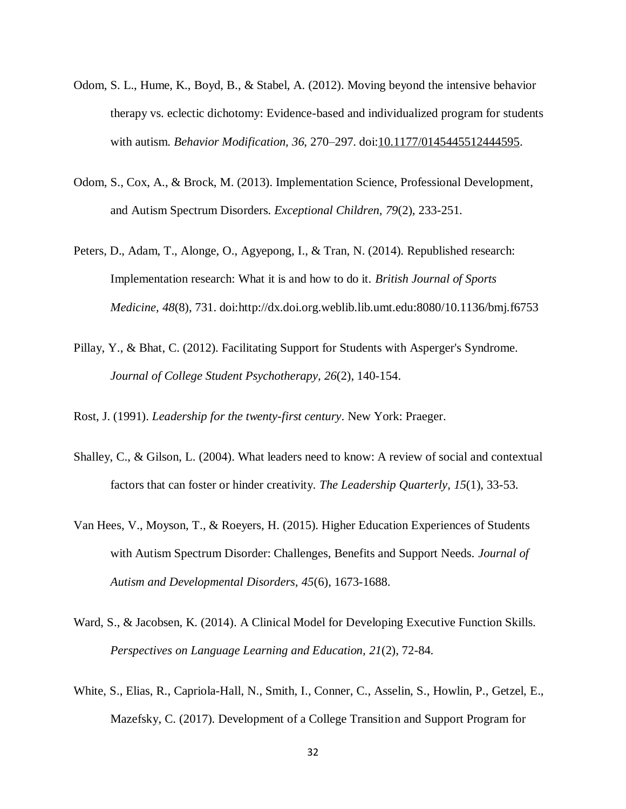- Odom, S. L., Hume, K., Boyd, B., & Stabel, A. (2012). Moving beyond the intensive behavior therapy vs. eclectic dichotomy: Evidence-based and individualized program for students with autism. *Behavior Modification, 36*, 270–297. doi[:10.1177/0145445512444595.](https://doi-org.weblib.lib.umt.edu:2443/10.1177/0145445512444595)
- Odom, S., Cox, A., & Brock, M. (2013). Implementation Science, Professional Development, and Autism Spectrum Disorders. *Exceptional Children, 79*(2), 233-251.
- Peters, D., Adam, T., Alonge, O., Agyepong, I., & Tran, N. (2014). Republished research: Implementation research: What it is and how to do it. *British Journal of Sports Medicine, 48*(8), 731. doi:http://dx.doi.org.weblib.lib.umt.edu:8080/10.1136/bmj.f6753
- Pillay, Y., & Bhat, C. (2012). Facilitating Support for Students with Asperger's Syndrome. *Journal of College Student Psychotherapy, 26*(2), 140-154.

Rost, J. (1991). *Leadership for the twenty-first century*. New York: Praeger.

- Shalley, C., & Gilson, L. (2004). What leaders need to know: A review of social and contextual factors that can foster or hinder creativity. *The Leadership Quarterly, 15*(1), 33-53.
- Van Hees, V., Moyson, T., & Roeyers, H. (2015). Higher Education Experiences of Students with Autism Spectrum Disorder: Challenges, Benefits and Support Needs. *Journal of Autism and Developmental Disorders, 45*(6), 1673-1688.
- Ward, S., & Jacobsen, K. (2014). A Clinical Model for Developing Executive Function Skills. *Perspectives on Language Learning and Education, 21*(2), 72-84.
- White, S., Elias, R., Capriola-Hall, N., Smith, I., Conner, C., Asselin, S., Howlin, P., Getzel, E., Mazefsky, C. (2017). Development of a College Transition and Support Program for